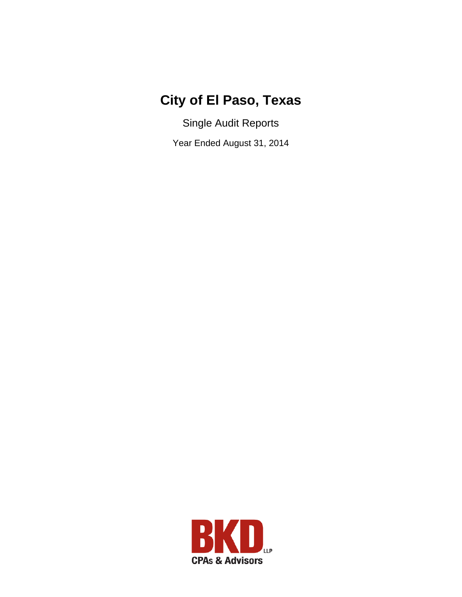# **City of El Paso, Texas**

Single Audit Reports

Year Ended August 31, 2014

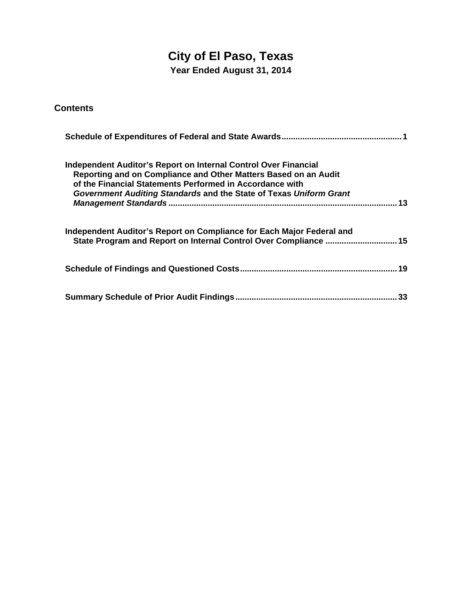# **City of El Paso, Texas**

**Year Ended August 31, 2014** 

| <b>Contents</b> |
|-----------------|
|-----------------|

| Independent Auditor's Report on Internal Control Over Financial<br>Reporting and on Compliance and Other Matters Based on an Audit<br>of the Financial Statements Performed in Accordance with |  |
|------------------------------------------------------------------------------------------------------------------------------------------------------------------------------------------------|--|
| Government Auditing Standards and the State of Texas Uniform Grant<br>13                                                                                                                       |  |
| Independent Auditor's Report on Compliance for Each Major Federal and<br>State Program and Report on Internal Control Over Compliance  15                                                      |  |
|                                                                                                                                                                                                |  |
|                                                                                                                                                                                                |  |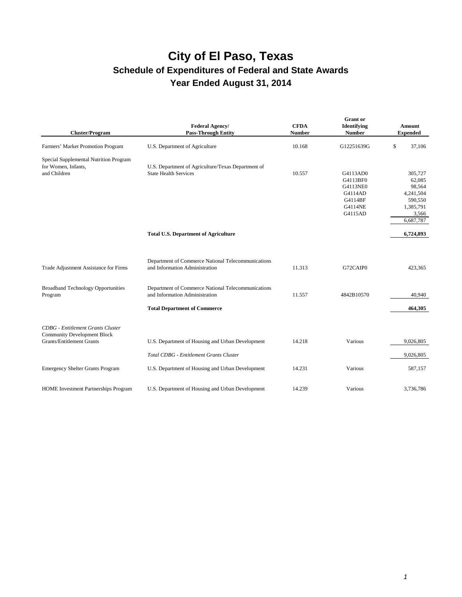| <b>Cluster/Program</b>                                                         | <b>Federal Agency/</b><br><b>Pass-Through Entity</b>                                 | <b>CFDA</b><br><b>Number</b> | <b>Grant</b> or<br>Identifying<br><b>Number</b> | Amount<br><b>Expended</b> |
|--------------------------------------------------------------------------------|--------------------------------------------------------------------------------------|------------------------------|-------------------------------------------------|---------------------------|
| Farmers' Market Promotion Program                                              | U.S. Department of Agriculture                                                       | 10.168                       | G12251639G                                      | \$<br>37,106              |
| Special Supplemental Nutrition Program<br>for Women, Infants,                  | U.S. Department of Agriculture/Texas Department of                                   |                              |                                                 |                           |
| and Children                                                                   | <b>State Health Services</b>                                                         | 10.557                       | G4113AD0<br>G4113BF0                            | 305,727<br>62,085         |
|                                                                                |                                                                                      |                              | G4113NE0<br>G4114AD                             | 98,564<br>4,241,504       |
|                                                                                |                                                                                      |                              | G4114BF<br>G4114NE                              | 590,550<br>1,385,791      |
|                                                                                |                                                                                      |                              | G4115AD                                         | 3,566                     |
|                                                                                |                                                                                      |                              |                                                 | 6,687,787                 |
|                                                                                | <b>Total U.S. Department of Agriculture</b>                                          |                              |                                                 | 6,724,893                 |
| Trade Adjustment Assistance for Firms                                          | Department of Commerce National Telecommunications<br>and Information Administration | 11.313                       | G72CAIP0                                        | 423,365                   |
| <b>Broadband Technology Opportunities</b><br>Program                           | Department of Commerce National Telecommunications<br>and Information Administration | 11.557                       | 4842B10570                                      | 40,940                    |
|                                                                                | <b>Total Department of Commerce</b>                                                  |                              |                                                 | 464,305                   |
| <b>CDBG</b> - Entitlement Grants Cluster<br><b>Community Development Block</b> |                                                                                      |                              |                                                 |                           |
| <b>Grants/Entitlement Grants</b>                                               | U.S. Department of Housing and Urban Development                                     | 14.218                       | Various                                         | 9,026,805                 |
|                                                                                | Total CDBG - Entitlement Grants Cluster                                              |                              |                                                 | 9,026,805                 |
| <b>Emergency Shelter Grants Program</b>                                        | U.S. Department of Housing and Urban Development                                     | 14.231                       | Various                                         | 587,157                   |
| HOME Investment Partnerships Program                                           | U.S. Department of Housing and Urban Development                                     | 14.239                       | Various                                         | 3,736,786                 |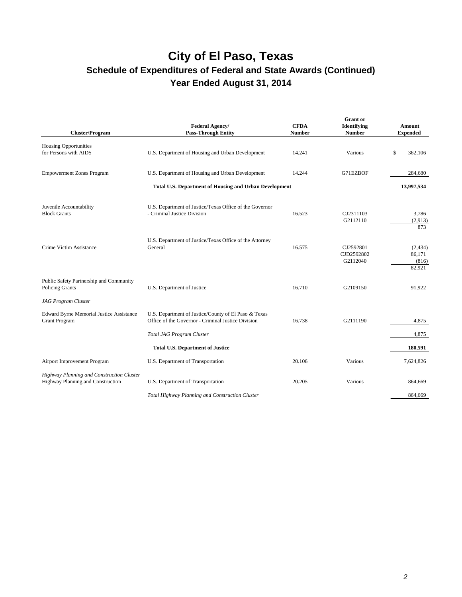# **City of El Paso, Texas**

### **Schedule of Expenditures of Federal and State Awards (Continued) Year Ended August 31, 2014**

| <b>Cluster/Program</b>                                                                   | <b>Federal Agency/</b><br><b>Pass-Through Entity</b>                                                       | <b>CFDA</b><br><b>Number</b> | <b>Grant</b> or<br>Identifying<br><b>Number</b> | <b>Amount</b><br><b>Expended</b>      |
|------------------------------------------------------------------------------------------|------------------------------------------------------------------------------------------------------------|------------------------------|-------------------------------------------------|---------------------------------------|
| <b>Housing Opportunities</b><br>for Persons with AIDS                                    | U.S. Department of Housing and Urban Development                                                           | 14.241                       | Various                                         | \$<br>362,106                         |
| <b>Empowerment Zones Program</b>                                                         | U.S. Department of Housing and Urban Development                                                           | 14.244                       | G71EZBOF                                        | 284,680                               |
|                                                                                          | <b>Total U.S. Department of Housing and Urban Development</b>                                              |                              |                                                 | 13,997,534                            |
| Juvenile Accountability<br><b>Block Grants</b>                                           | U.S. Department of Justice/Texas Office of the Governor<br>- Criminal Justice Division                     | 16.523                       | CJ2311103<br>G2112110                           | 3,786<br>(2,913)<br>873               |
| Crime Victim Assistance                                                                  | U.S. Department of Justice/Texas Office of the Attorney<br>General                                         | 16.575                       | CJ2592801<br>CJD2592802<br>G2112040             | (2, 434)<br>86,171<br>(816)<br>82,921 |
| Public Safety Partnership and Community<br>Policing Grants<br><b>JAG Program Cluster</b> | U.S. Department of Justice                                                                                 | 16.710                       | G2109150                                        | 91,922                                |
| <b>Edward Byrne Memorial Justice Assistance</b><br><b>Grant Program</b>                  | U.S. Department of Justice/County of El Paso & Texas<br>Office of the Governor - Criminal Justice Division | 16.738                       | G2111190                                        | 4,875                                 |
|                                                                                          | <b>Total JAG Program Cluster</b>                                                                           |                              |                                                 | 4,875                                 |
|                                                                                          | <b>Total U.S. Department of Justice</b>                                                                    |                              |                                                 | 180,591                               |
| Airport Improvement Program                                                              | U.S. Department of Transportation                                                                          | 20.106                       | Various                                         | 7,624,826                             |
| Highway Planning and Construction Cluster<br>Highway Planning and Construction           | U.S. Department of Transportation                                                                          | 20.205                       | Various                                         | 864,669                               |
|                                                                                          | Total Highway Planning and Construction Cluster                                                            |                              |                                                 | 864,669                               |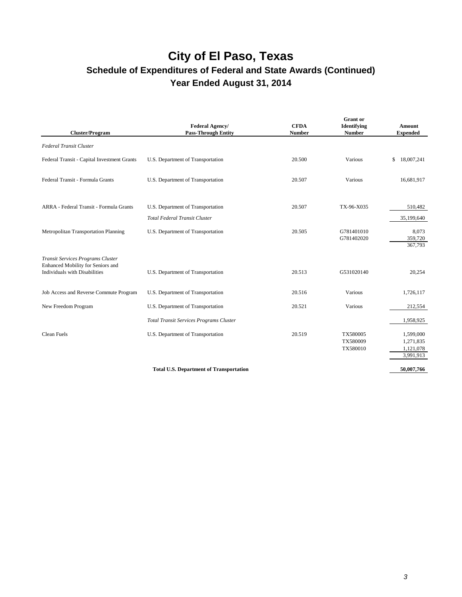|                                                                                                                |                                                                           |                              | <b>Grant</b> or                     |                                                  |
|----------------------------------------------------------------------------------------------------------------|---------------------------------------------------------------------------|------------------------------|-------------------------------------|--------------------------------------------------|
| <b>Cluster/Program</b>                                                                                         | <b>Federal Agency/</b><br><b>Pass-Through Entity</b>                      | <b>CFDA</b><br><b>Number</b> | <b>Identifying</b><br><b>Number</b> | Amount<br><b>Expended</b>                        |
| <b>Federal Transit Cluster</b>                                                                                 |                                                                           |                              |                                     |                                                  |
| Federal Transit - Capital Investment Grants                                                                    | U.S. Department of Transportation                                         | 20.500                       | Various                             | \$<br>18,007,241                                 |
| Federal Transit - Formula Grants                                                                               | U.S. Department of Transportation                                         | 20.507                       | Various                             | 16,681,917                                       |
| ARRA - Federal Transit - Formula Grants                                                                        | U.S. Department of Transportation                                         | 20.507                       | TX-96-X035                          | 510,482                                          |
| Metropolitan Transportation Planning                                                                           | <b>Total Federal Transit Cluster</b><br>U.S. Department of Transportation | 20.505                       | G781401010<br>G781402020            | 35,199,640<br>8,073<br>359,720<br>367,793        |
| Transit Services Programs Cluster<br>Enhanced Mobility for Seniors and<br><b>Individuals with Disabilities</b> | U.S. Department of Transportation                                         | 20.513                       | G531020140                          | 20,254                                           |
| Job Access and Reverse Commute Program                                                                         | U.S. Department of Transportation                                         | 20.516                       | Various                             | 1,726,117                                        |
| New Freedom Program                                                                                            | U.S. Department of Transportation                                         | 20.521                       | Various                             | 212,554                                          |
|                                                                                                                | <b>Total Transit Services Programs Cluster</b>                            |                              |                                     | 1,958,925                                        |
| Clean Fuels                                                                                                    | U.S. Department of Transportation                                         | 20.519                       | TX580005<br>TX580009<br>TX580010    | 1,599,000<br>1,271,835<br>1,121,078<br>3,991,913 |
|                                                                                                                | <b>Total U.S. Department of Transportation</b>                            |                              |                                     | 50,007,766                                       |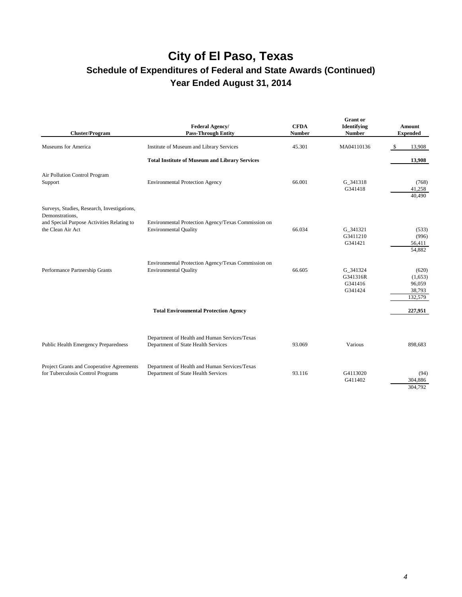# **City of El Paso, Texas**

### **Schedule of Expenditures of Federal and State Awards (Continued) Year Ended August 31, 2014**

| <b>Cluster/Program</b>                                                                                                            | <b>Federal Agency/</b><br><b>Pass-Through Entity</b>                                 | <b>CFDA</b><br><b>Number</b> | <b>Grant</b> or<br>Identifying<br><b>Number</b> | <b>Amount</b><br><b>Expended</b>                |
|-----------------------------------------------------------------------------------------------------------------------------------|--------------------------------------------------------------------------------------|------------------------------|-------------------------------------------------|-------------------------------------------------|
| Museums for America                                                                                                               | Institute of Museum and Library Services                                             | 45.301                       | MA04110136                                      | \$<br>13,908                                    |
|                                                                                                                                   | <b>Total Institute of Museum and Library Services</b>                                |                              |                                                 | 13,908                                          |
| Air Pollution Control Program<br>Support                                                                                          | <b>Environmental Protection Agency</b>                                               | 66.001                       | G 341318<br>G341418                             | (768)<br>41,258<br>40,490                       |
| Surveys, Studies, Research, Investigations,<br>Demonstrations,<br>and Special Purpose Activities Relating to<br>the Clean Air Act | Environmental Protection Agency/Texas Commission on<br><b>Environmental Quality</b>  | 66.034                       | G 341321<br>G3411210<br>G341421                 | (533)<br>(996)<br>56,411<br>54,882              |
| Performance Partnership Grants                                                                                                    | Environmental Protection Agency/Texas Commission on<br><b>Environmental Quality</b>  | 66.605                       | G_341324<br>G341316R<br>G341416<br>G341424      | (620)<br>(1,653)<br>96,059<br>38,793<br>132,579 |
|                                                                                                                                   | <b>Total Environmental Protection Agency</b>                                         |                              |                                                 | 227,951                                         |
| Public Health Emergency Preparedness                                                                                              | Department of Health and Human Services/Texas<br>Department of State Health Services | 93.069                       | Various                                         | 898,683                                         |
| Project Grants and Cooperative Agreements<br>for Tuberculosis Control Programs                                                    | Department of Health and Human Services/Texas<br>Department of State Health Services | 93.116                       | G4113020<br>G411402                             | (94)<br>304,886<br>304,792                      |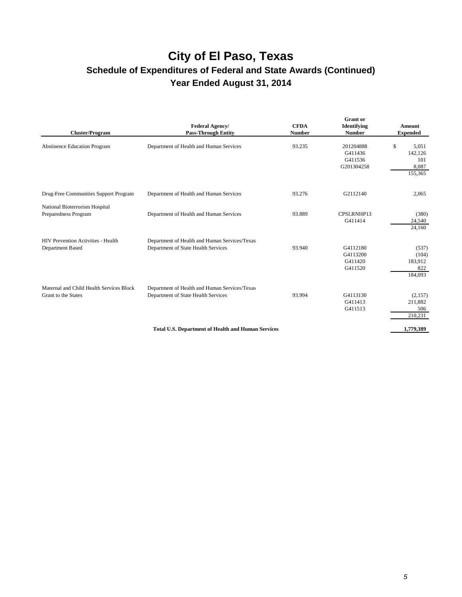# **City of El Paso, Texas**

### **Schedule of Expenditures of Federal and State Awards (Continued) Year Ended August 31, 2014**

| <b>Cluster/Program</b>                                          | <b>Federal Agency/</b><br><b>Pass-Through Entity</b>                                 | <b>CFDA</b><br><b>Number</b> | <b>Grant</b> or<br>Identifying<br><b>Number</b> | <b>Amount</b><br><b>Expended</b>                  |
|-----------------------------------------------------------------|--------------------------------------------------------------------------------------|------------------------------|-------------------------------------------------|---------------------------------------------------|
| <b>Abstinence Education Program</b>                             | Department of Health and Human Services                                              | 93.235                       | 201204888<br>G411436<br>G411536<br>G201304258   | \$<br>5,051<br>142,126<br>101<br>8,087<br>155,365 |
| Drug-Free Communities Support Program                           | Department of Health and Human Services                                              | 93.276                       | G2112140                                        | 2,065                                             |
| National Bioterrorism Hospital<br>Preparedness Program          | Department of Health and Human Services                                              | 93.889                       | CPSLRNHP13<br>G411414                           | (380)<br>24,540<br>24,160                         |
| HIV Prevention Activities - Health<br>Department Based          | Department of Health and Human Services/Texas<br>Department of State Health Services | 93.940                       | G4112180<br>G4113200<br>G411420<br>G411520      | (537)<br>(104)<br>183,912<br>822<br>184,093       |
| Maternal and Child Health Services Block<br>Grant to the States | Department of Health and Human Services/Texas<br>Department of State Health Services | 93.994                       | G4113130<br>G411413<br>G411513                  | (2,157)<br>211,882<br>506<br>210,231              |
|                                                                 | <b>Total U.S. Department of Health and Human Services</b>                            |                              |                                                 | 1,779,389                                         |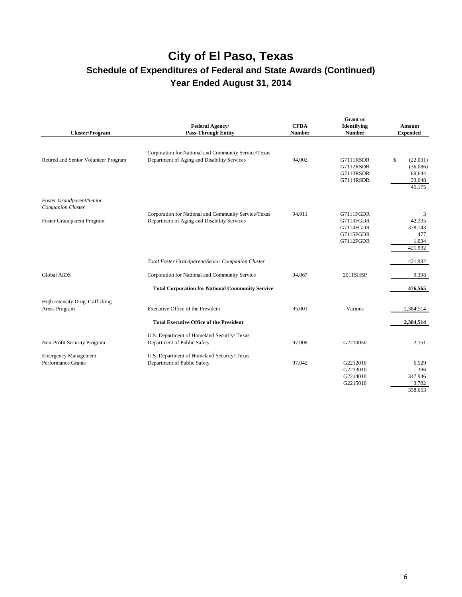# **City of El Paso, Texas Schedule of Expenditures of Federal and State Awards (Continued)**

**Year Ended August 31, 2014** 

|                                        |                                                         |                              | <b>Grant</b> or              |                           |
|----------------------------------------|---------------------------------------------------------|------------------------------|------------------------------|---------------------------|
| <b>Cluster/Program</b>                 | <b>Federal Agency/</b><br><b>Pass-Through Entity</b>    | <b>CFDA</b><br><b>Number</b> | Identifying<br><b>Number</b> | Amount<br><b>Expended</b> |
|                                        |                                                         |                              |                              |                           |
|                                        | Corporation for National and Community Service/Texas    |                              |                              |                           |
| Retired and Senior Volunteer Program   | Department of Aging and Disability Services             | 94.002                       | G7111RSDR                    | \$<br>(22, 031)           |
|                                        |                                                         |                              | G7112RSDR                    | (36,086)                  |
|                                        |                                                         |                              | G7113RSDR                    | 69,644                    |
|                                        |                                                         |                              | G7114RSDR                    | 33,648                    |
|                                        |                                                         |                              |                              | 45.175                    |
| Foster Grandparent/Senior              |                                                         |                              |                              |                           |
| Companion Cluster                      | Corporation for National and Community Service/Texas    | 94.011                       | G7111FGDR                    | 3                         |
| <b>Foster Grandparent Program</b>      | Department of Aging and Disability Services             |                              | G7113FGDR                    | 42,335                    |
|                                        |                                                         |                              | G7114FGDR                    | 378,143                   |
|                                        |                                                         |                              | G7115FGDR                    | 477                       |
|                                        |                                                         |                              | G7112FGDR                    | 1,034                     |
|                                        |                                                         |                              |                              | 421,992                   |
|                                        | Total Foster Grandparent/Senior Companion Cluster       |                              |                              | 421,992                   |
| <b>Global AIDS</b>                     | Corporation for National and Community Service          | 94.067                       | 2011SHSP                     | 9,398                     |
|                                        | <b>Total Corporation for National Community Service</b> |                              |                              | 476,565                   |
| <b>High Intensity Drug Trafficking</b> |                                                         |                              |                              |                           |
| Areas Program                          | Executive Office of the President                       | 95.001                       | Various                      | 2,384,514                 |
|                                        | <b>Total Executive Office of the President</b>          |                              |                              | 2,384,514                 |
|                                        | U.S. Department of Homeland Security/ Texas             |                              |                              |                           |
| Non-Profit Security Program            | Department of Public Safety                             | 97.008                       | G2210050                     | 2,151                     |
| <b>Emergency Management</b>            | U.S. Department of Homeland Security/ Texas             |                              |                              |                           |
| Performance Grants                     | Department of Public Safety                             | 97.042                       | G2212010                     | 6,529                     |
|                                        |                                                         |                              | G2213010                     | 396                       |
|                                        |                                                         |                              | G2214010                     | 347,946                   |
|                                        |                                                         |                              | G2215010                     | 3,782                     |
|                                        |                                                         |                              |                              | 358.653                   |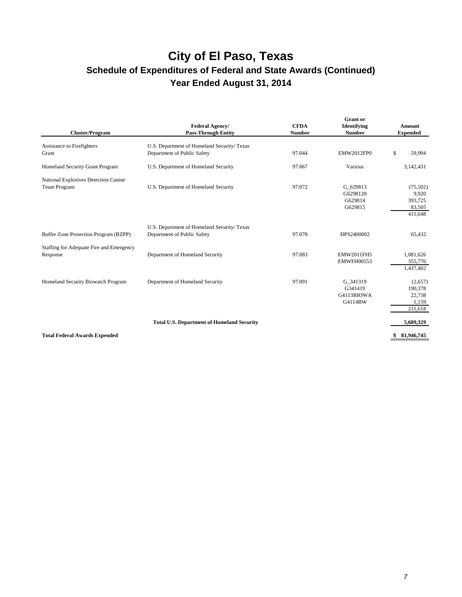# **City of El Paso, Texas**

### **Schedule of Expenditures of Federal and State Awards (Continued) Year Ended August 31, 2014**

| <b>Cluster/Program</b>                               | <b>Federal Agency/</b><br><b>Pass-Through Entity</b>                       | <b>CFDA</b><br><b>Number</b> | <b>Grant</b> or<br>Identifying<br><b>Number</b> | <b>Amount</b><br><b>Expended</b>                  |
|------------------------------------------------------|----------------------------------------------------------------------------|------------------------------|-------------------------------------------------|---------------------------------------------------|
| Assistance to Firefighters<br>Grant                  | U.S. Department of Homeland Security/ Texas<br>Department of Public Safety | 97.044                       | <b>EMW2012FP0</b>                               | \$<br>59,994                                      |
| Homeland Security Grant Program                      | U.S. Department of Homeland Security                                       | 97.067                       | Various                                         | 3,142,431                                         |
| National Explosives Detection Canine<br>Team Program | U.S. Department of Homeland Security                                       | 97.072                       | G 629813<br>G6298120<br>G629814<br>G629815      | (75,502)<br>9,920<br>393,725<br>83,505<br>411,648 |
| Buffer Zone Protection Program (BZPP)                | U.S. Department of Homeland Security/ Texas<br>Department of Public Safety | 97.078                       | DPS2400002                                      | 65,432                                            |
| Staffing for Adequate Fire and Emergency<br>Response | Department of Homeland Security                                            | 97.083                       | <b>EMW2011FH5</b><br><b>EMWFH00553</b>          | 1,081,626<br>355,776<br>1,437,402                 |
| Homeland Security Biowatch Program                   | Department of Homeland Security                                            | 97.091                       | G 341319<br>G341419<br>G4113BIOWA<br>G4114BW    | (2,657)<br>190,378<br>22,738<br>1,159<br>211,618  |
|                                                      | <b>Total U.S. Department of Homeland Security</b>                          |                              |                                                 | 5.689.329                                         |
| <b>Total Federal Awards Expended</b>                 |                                                                            |                              |                                                 | 81,946,745<br>\$                                  |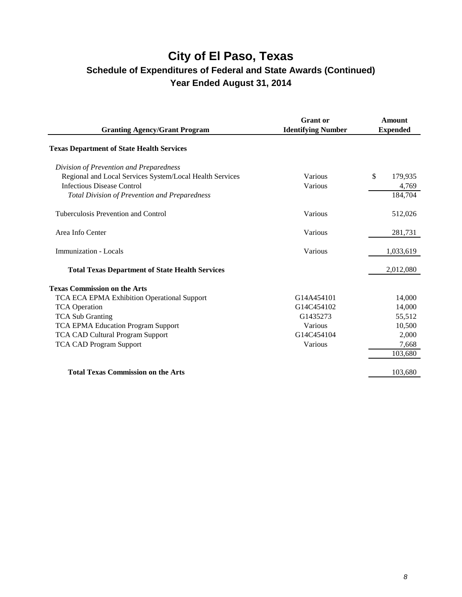| <b>Granting Agency/Grant Program</b>                     | <b>Grant</b> or<br><b>Identifying Number</b> | <b>Amount</b><br><b>Expended</b> |
|----------------------------------------------------------|----------------------------------------------|----------------------------------|
| <b>Texas Department of State Health Services</b>         |                                              |                                  |
| Division of Prevention and Preparedness                  |                                              |                                  |
| Regional and Local Services System/Local Health Services | Various                                      | \$<br>179,935                    |
| <b>Infectious Disease Control</b>                        | Various                                      | 4,769                            |
| <b>Total Division of Prevention and Preparedness</b>     |                                              | 184,704                          |
| Tuberculosis Prevention and Control                      | Various                                      | 512,026                          |
| Area Info Center                                         | Various                                      | 281,731                          |
| <b>Immunization - Locals</b>                             | Various                                      | 1,033,619                        |
| <b>Total Texas Department of State Health Services</b>   |                                              | 2,012,080                        |
| <b>Texas Commission on the Arts</b>                      |                                              |                                  |
| TCA ECA EPMA Exhibition Operational Support              | G14A454101                                   | 14,000                           |
| <b>TCA</b> Operation                                     | G14C454102                                   | 14,000                           |
| <b>TCA Sub Granting</b>                                  | G1435273                                     | 55,512                           |
| TCA EPMA Education Program Support                       | Various                                      | 10,500                           |
| <b>TCA CAD Cultural Program Support</b>                  | G14C454104                                   | 2,000                            |
| <b>TCA CAD Program Support</b>                           | Various                                      | 7,668                            |
|                                                          |                                              | 103,680                          |
| <b>Total Texas Commission on the Arts</b>                |                                              | 103,680                          |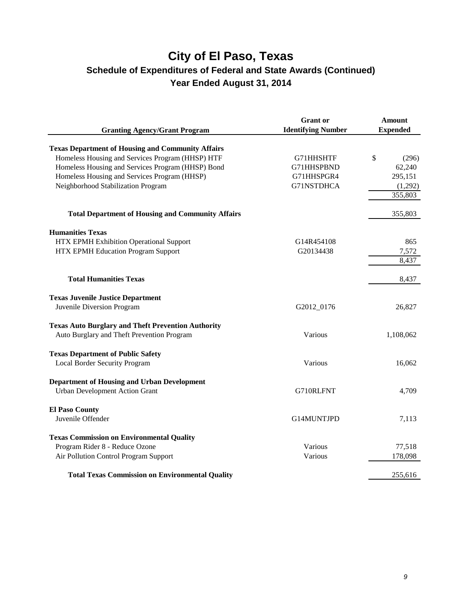| <b>Granting Agency/Grant Program</b>                      | <b>Grant</b> or<br><b>Identifying Number</b> | <b>Amount</b><br><b>Expended</b> |
|-----------------------------------------------------------|----------------------------------------------|----------------------------------|
|                                                           |                                              |                                  |
| <b>Texas Department of Housing and Community Affairs</b>  |                                              |                                  |
| Homeless Housing and Services Program (HHSP) HTF          | G71HHSHTF                                    | \$<br>(296)                      |
| Homeless Housing and Services Program (HHSP) Bond         | G71HHSPBND                                   | 62,240                           |
| Homeless Housing and Services Program (HHSP)              | G71HHSPGR4                                   | 295,151                          |
| Neighborhood Stabilization Program                        | G71NSTDHCA                                   | (1,292)                          |
|                                                           |                                              | 355,803                          |
| <b>Total Department of Housing and Community Affairs</b>  |                                              | 355,803                          |
| <b>Humanities Texas</b>                                   |                                              |                                  |
| HTX EPMH Exhibition Operational Support                   | G14R454108                                   | 865                              |
| HTX EPMH Education Program Support                        | G20134438                                    | 7,572                            |
|                                                           |                                              | 8,437                            |
|                                                           |                                              |                                  |
| <b>Total Humanities Texas</b>                             |                                              | 8,437                            |
| <b>Texas Juvenile Justice Department</b>                  |                                              |                                  |
| Juvenile Diversion Program                                | G2012_0176                                   | 26,827                           |
| <b>Texas Auto Burglary and Theft Prevention Authority</b> |                                              |                                  |
| Auto Burglary and Theft Prevention Program                | Various                                      | 1,108,062                        |
| <b>Texas Department of Public Safety</b>                  |                                              |                                  |
| <b>Local Border Security Program</b>                      | Various                                      | 16,062                           |
| <b>Department of Housing and Urban Development</b>        |                                              |                                  |
| <b>Urban Development Action Grant</b>                     | G710RLFNT                                    | 4,709                            |
| <b>El Paso County</b>                                     |                                              |                                  |
| Juvenile Offender                                         | G14MUNTJPD                                   | 7,113                            |
| <b>Texas Commission on Environmental Quality</b>          |                                              |                                  |
| Program Rider 8 - Reduce Ozone                            | Various                                      | 77,518                           |
| Air Pollution Control Program Support                     | Various                                      | 178,098                          |
| <b>Total Texas Commission on Environmental Quality</b>    |                                              | 255,616                          |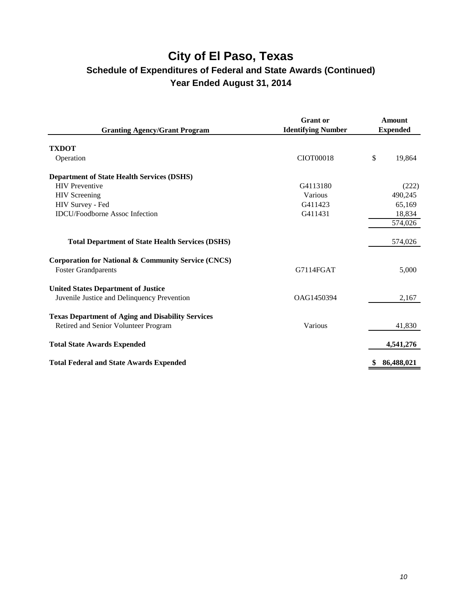| <b>Granting Agency/Grant Program</b>                           | <b>Grant</b> or<br><b>Identifying Number</b> | <b>Amount</b><br><b>Expended</b> |
|----------------------------------------------------------------|----------------------------------------------|----------------------------------|
| <b>TXDOT</b>                                                   |                                              |                                  |
| Operation                                                      | CIOT00018                                    | \$<br>19,864                     |
| <b>Department of State Health Services (DSHS)</b>              |                                              |                                  |
| <b>HIV</b> Preventive                                          | G4113180                                     | (222)                            |
| <b>HIV</b> Screening                                           | Various                                      | 490,245                          |
| HIV Survey - Fed                                               | G411423                                      | 65,169                           |
| <b>IDCU/Foodborne Assoc Infection</b>                          | G411431                                      | 18,834                           |
|                                                                |                                              | 574,026                          |
| <b>Total Department of State Health Services (DSHS)</b>        |                                              | 574,026                          |
| <b>Corporation for National &amp; Community Service (CNCS)</b> |                                              |                                  |
| <b>Foster Grandparents</b>                                     | G7114FGAT                                    | 5,000                            |
| <b>United States Department of Justice</b>                     |                                              |                                  |
| Juvenile Justice and Delinquency Prevention                    | OAG1450394                                   | 2,167                            |
| <b>Texas Department of Aging and Disability Services</b>       |                                              |                                  |
| Retired and Senior Volunteer Program                           | Various                                      | 41,830                           |
| <b>Total State Awards Expended</b>                             |                                              | 4,541,276                        |
| <b>Total Federal and State Awards Expended</b>                 |                                              | 86,488,021                       |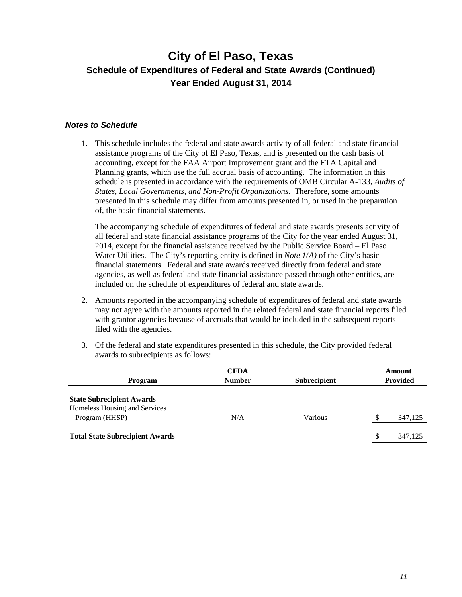### *Notes to Schedule*

1. This schedule includes the federal and state awards activity of all federal and state financial assistance programs of the City of El Paso, Texas, and is presented on the cash basis of accounting, except for the FAA Airport Improvement grant and the FTA Capital and Planning grants, which use the full accrual basis of accounting. The information in this schedule is presented in accordance with the requirements of OMB Circular A-133, *Audits of States, Local Governments, and Non-Profit Organizations*. Therefore, some amounts presented in this schedule may differ from amounts presented in, or used in the preparation of, the basic financial statements.

The accompanying schedule of expenditures of federal and state awards presents activity of all federal and state financial assistance programs of the City for the year ended August 31, 2014, except for the financial assistance received by the Public Service Board – El Paso Water Utilities. The City's reporting entity is defined in *Note 1(A)* of the City's basic financial statements. Federal and state awards received directly from federal and state agencies, as well as federal and state financial assistance passed through other entities, are included on the schedule of expenditures of federal and state awards.

- 2. Amounts reported in the accompanying schedule of expenditures of federal and state awards may not agree with the amounts reported in the related federal and state financial reports filed with grantor agencies because of accruals that would be included in the subsequent reports filed with the agencies.
- 3. Of the federal and state expenditures presented in this schedule, the City provided federal awards to subrecipients as follows:

| Program                                                                             | <b>CFDA</b><br><b>Number</b> | <b>Subrecipient</b> |   | Amount<br><b>Provided</b> |
|-------------------------------------------------------------------------------------|------------------------------|---------------------|---|---------------------------|
| <b>State Subrecipient Awards</b><br>Homeless Housing and Services<br>Program (HHSP) | N/A                          | Various             |   | 347,125                   |
| <b>Total State Subrecipient Awards</b>                                              |                              |                     | S | 347,125                   |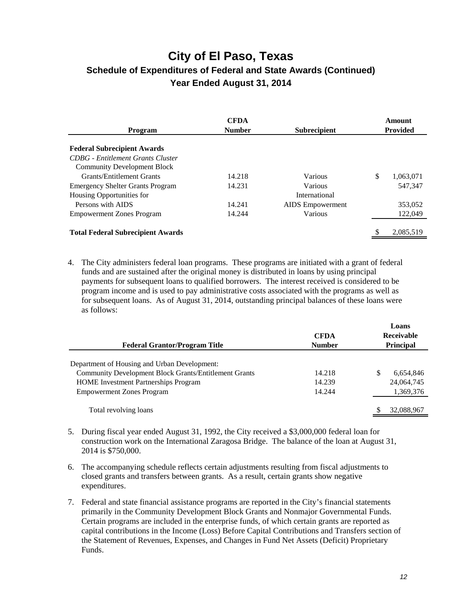| Program                                  | <b>CFDA</b><br><b>Number</b> | <b>Subrecipient</b>     | Amount<br><b>Provided</b> |
|------------------------------------------|------------------------------|-------------------------|---------------------------|
|                                          |                              |                         |                           |
| <b>Federal Subrecipient Awards</b>       |                              |                         |                           |
| <b>CDBG</b> - Entitlement Grants Cluster |                              |                         |                           |
| <b>Community Development Block</b>       |                              |                         |                           |
| <b>Grants/Entitlement Grants</b>         | 14.218                       | Various                 | \$<br>1,063,071           |
| <b>Emergency Shelter Grants Program</b>  | 14.231                       | Various                 | 547.347                   |
| Housing Opportunities for                |                              | International           |                           |
| Persons with AIDS                        | 14.241                       | <b>AIDS</b> Empowerment | 353,052                   |
| <b>Empowerment Zones Program</b>         | 14.244                       | Various                 | 122,049                   |
|                                          |                              |                         |                           |
| <b>Total Federal Subrecipient Awards</b> |                              |                         | \$<br>2.085.519           |

4. The City administers federal loan programs. These programs are initiated with a grant of federal funds and are sustained after the original money is distributed in loans by using principal payments for subsequent loans to qualified borrowers. The interest received is considered to be program income and is used to pay administrative costs associated with the programs as well as for subsequent loans. As of August 31, 2014, outstanding principal balances of these loans were as follows:

| <b>Federal Grantor/Program Title</b>                         | <b>CFDA</b><br><b>Number</b> | Loans<br>Receivable<br><b>Principal</b> |  |
|--------------------------------------------------------------|------------------------------|-----------------------------------------|--|
| Department of Housing and Urban Development:                 |                              |                                         |  |
| <b>Community Development Block Grants/Entitlement Grants</b> | 14.218                       | S<br>6,654,846                          |  |
| <b>HOME</b> Investment Partnerships Program                  | 14.239                       | 24,064,745                              |  |
| <b>Empowerment Zones Program</b>                             | 14.244                       | 1,369,376                               |  |
| Total revolving loans                                        |                              | 32,088,967                              |  |

- 5. During fiscal year ended August 31, 1992, the City received a \$3,000,000 federal loan for construction work on the International Zaragosa Bridge. The balance of the loan at August 31, 2014 is \$750,000.
- 6. The accompanying schedule reflects certain adjustments resulting from fiscal adjustments to closed grants and transfers between grants. As a result, certain grants show negative expenditures.
- 7. Federal and state financial assistance programs are reported in the City's financial statements primarily in the Community Development Block Grants and Nonmajor Governmental Funds. Certain programs are included in the enterprise funds, of which certain grants are reported as capital contributions in the Income (Loss) Before Capital Contributions and Transfers section of the Statement of Revenues, Expenses, and Changes in Fund Net Assets (Deficit) Proprietary Funds.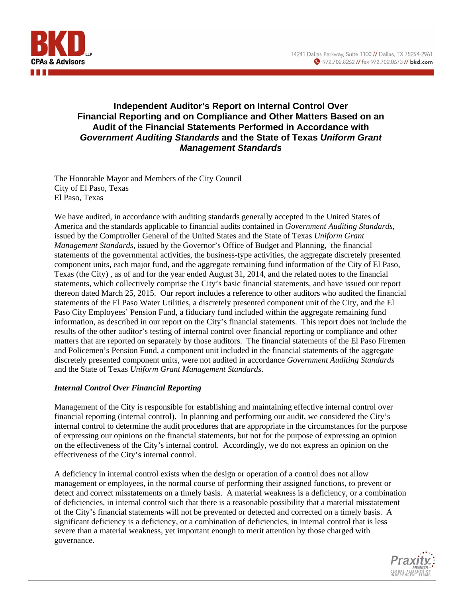

### **Independent Auditor's Report on Internal Control Over Financial Reporting and on Compliance and Other Matters Based on an Audit of the Financial Statements Performed in Accordance with**  *Government Auditing Standards* **and the State of Texas** *Uniform Grant Management Standards*

The Honorable Mayor and Members of the City Council City of El Paso, Texas El Paso, Texas

We have audited, in accordance with auditing standards generally accepted in the United States of America and the standards applicable to financial audits contained in *Government Auditing Standards*, issued by the Comptroller General of the United States and the State of Texas *Uniform Grant Management Standards*, issued by the Governor's Office of Budget and Planning, the financial statements of the governmental activities, the business-type activities, the aggregate discretely presented component units, each major fund, and the aggregate remaining fund information of the City of El Paso, Texas (the City) , as of and for the year ended August 31, 2014, and the related notes to the financial statements, which collectively comprise the City's basic financial statements, and have issued our report thereon dated March 25, 2015. Our report includes a reference to other auditors who audited the financial statements of the El Paso Water Utilities, a discretely presented component unit of the City, and the El Paso City Employees' Pension Fund, a fiduciary fund included within the aggregate remaining fund information, as described in our report on the City's financial statements. This report does not include the results of the other auditor's testing of internal control over financial reporting or compliance and other matters that are reported on separately by those auditors. The financial statements of the El Paso Firemen and Policemen's Pension Fund, a component unit included in the financial statements of the aggregate discretely presented component units, were not audited in accordance *Government Auditing Standards* and the State of Texas *Uniform Grant Management Standards*.

### *Internal Control Over Financial Reporting*

Management of the City is responsible for establishing and maintaining effective internal control over financial reporting (internal control). In planning and performing our audit, we considered the City's internal control to determine the audit procedures that are appropriate in the circumstances for the purpose of expressing our opinions on the financial statements, but not for the purpose of expressing an opinion on the effectiveness of the City's internal control. Accordingly, we do not express an opinion on the effectiveness of the City's internal control.

A deficiency in internal control exists when the design or operation of a control does not allow management or employees, in the normal course of performing their assigned functions, to prevent or detect and correct misstatements on a timely basis. A material weakness is a deficiency, or a combination of deficiencies, in internal control such that there is a reasonable possibility that a material misstatement of the City's financial statements will not be prevented or detected and corrected on a timely basis. A significant deficiency is a deficiency, or a combination of deficiencies, in internal control that is less severe than a material weakness, yet important enough to merit attention by those charged with governance.

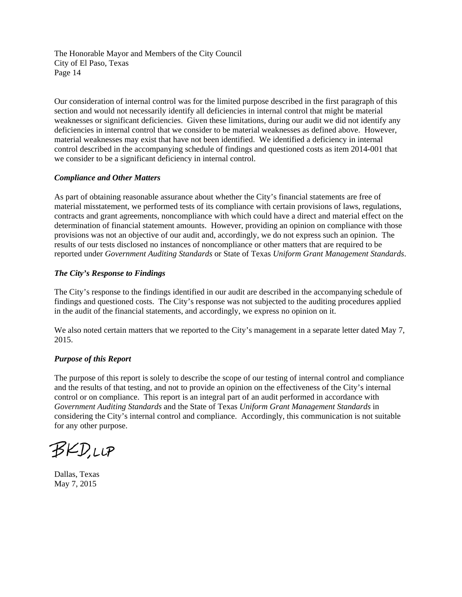Our consideration of internal control was for the limited purpose described in the first paragraph of this section and would not necessarily identify all deficiencies in internal control that might be material weaknesses or significant deficiencies. Given these limitations, during our audit we did not identify any deficiencies in internal control that we consider to be material weaknesses as defined above. However, material weaknesses may exist that have not been identified. We identified a deficiency in internal control described in the accompanying schedule of findings and questioned costs as item 2014-001 that we consider to be a significant deficiency in internal control.

#### *Compliance and Other Matters*

As part of obtaining reasonable assurance about whether the City's financial statements are free of material misstatement, we performed tests of its compliance with certain provisions of laws, regulations, contracts and grant agreements, noncompliance with which could have a direct and material effect on the determination of financial statement amounts. However, providing an opinion on compliance with those provisions was not an objective of our audit and, accordingly, we do not express such an opinion. The results of our tests disclosed no instances of noncompliance or other matters that are required to be reported under *Government Auditing Standards* or State of Texas *Uniform Grant Management Standards*.

### *The City's Response to Findings*

The City's response to the findings identified in our audit are described in the accompanying schedule of findings and questioned costs. The City's response was not subjected to the auditing procedures applied in the audit of the financial statements, and accordingly, we express no opinion on it.

We also noted certain matters that we reported to the City's management in a separate letter dated May 7, 2015.

### *Purpose of this Report*

The purpose of this report is solely to describe the scope of our testing of internal control and compliance and the results of that testing, and not to provide an opinion on the effectiveness of the City's internal control or on compliance. This report is an integral part of an audit performed in accordance with *Government Auditing Standards* and the State of Texas *Uniform Grant Management Standards* in considering the City's internal control and compliance. Accordingly, this communication is not suitable for any other purpose.

BKD,LLP

Dallas, Texas May 7, 2015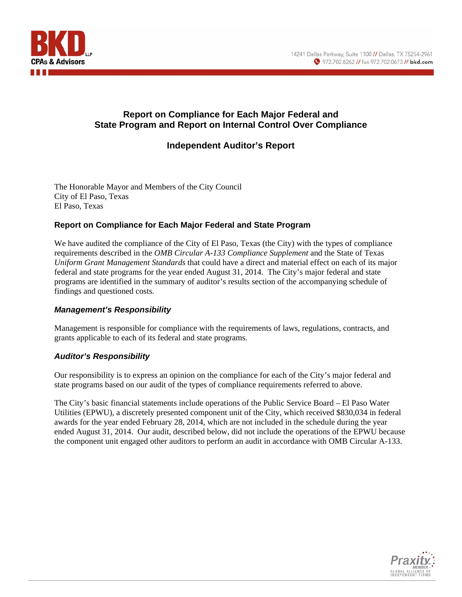



### **Report on Compliance for Each Major Federal and State Program and Report on Internal Control Over Compliance**

### **Independent Auditor's Report**

The Honorable Mayor and Members of the City Council City of El Paso, Texas El Paso, Texas

### **Report on Compliance for Each Major Federal and State Program**

We have audited the compliance of the City of El Paso, Texas (the City) with the types of compliance requirements described in the *OMB Circular A-133 Compliance Supplement* and the State of Texas *Uniform Grant Management Standards* that could have a direct and material effect on each of its major federal and state programs for the year ended August 31, 2014. The City's major federal and state programs are identified in the summary of auditor's results section of the accompanying schedule of findings and questioned costs.

### *Management's Responsibility*

Management is responsible for compliance with the requirements of laws, regulations, contracts, and grants applicable to each of its federal and state programs.

### *Auditor's Responsibility*

Our responsibility is to express an opinion on the compliance for each of the City's major federal and state programs based on our audit of the types of compliance requirements referred to above.

The City's basic financial statements include operations of the Public Service Board – El Paso Water Utilities (EPWU), a discretely presented component unit of the City, which received \$830,034 in federal awards for the year ended February 28, 2014, which are not included in the schedule during the year ended August 31, 2014. Our audit, described below, did not include the operations of the EPWU because the component unit engaged other auditors to perform an audit in accordance with OMB Circular A-133.

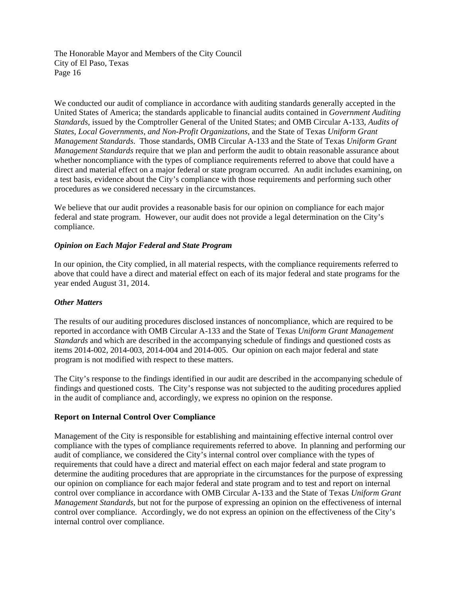We conducted our audit of compliance in accordance with auditing standards generally accepted in the United States of America; the standards applicable to financial audits contained in *Government Auditing Standards*, issued by the Comptroller General of the United States; and OMB Circular A-133, *Audits of States, Local Governments, and Non-Profit Organizations*, and the State of Texas *Uniform Grant Management Standards*. Those standards, OMB Circular A-133 and the State of Texas *Uniform Grant Management Standards* require that we plan and perform the audit to obtain reasonable assurance about whether noncompliance with the types of compliance requirements referred to above that could have a direct and material effect on a major federal or state program occurred. An audit includes examining, on a test basis, evidence about the City's compliance with those requirements and performing such other procedures as we considered necessary in the circumstances.

We believe that our audit provides a reasonable basis for our opinion on compliance for each major federal and state program. However, our audit does not provide a legal determination on the City's compliance.

#### *Opinion on Each Major Federal and State Program*

In our opinion, the City complied, in all material respects, with the compliance requirements referred to above that could have a direct and material effect on each of its major federal and state programs for the year ended August 31, 2014.

#### *Other Matters*

The results of our auditing procedures disclosed instances of noncompliance, which are required to be reported in accordance with OMB Circular A-133 and the State of Texas *Uniform Grant Management Standards* and which are described in the accompanying schedule of findings and questioned costs as items 2014-002, 2014-003, 2014-004 and 2014-005. Our opinion on each major federal and state program is not modified with respect to these matters.

The City's response to the findings identified in our audit are described in the accompanying schedule of findings and questioned costs. The City's response was not subjected to the auditing procedures applied in the audit of compliance and, accordingly, we express no opinion on the response.

### **Report on Internal Control Over Compliance**

Management of the City is responsible for establishing and maintaining effective internal control over compliance with the types of compliance requirements referred to above. In planning and performing our audit of compliance, we considered the City's internal control over compliance with the types of requirements that could have a direct and material effect on each major federal and state program to determine the auditing procedures that are appropriate in the circumstances for the purpose of expressing our opinion on compliance for each major federal and state program and to test and report on internal control over compliance in accordance with OMB Circular A-133 and the State of Texas *Uniform Grant Management Standards*, but not for the purpose of expressing an opinion on the effectiveness of internal control over compliance. Accordingly, we do not express an opinion on the effectiveness of the City's internal control over compliance.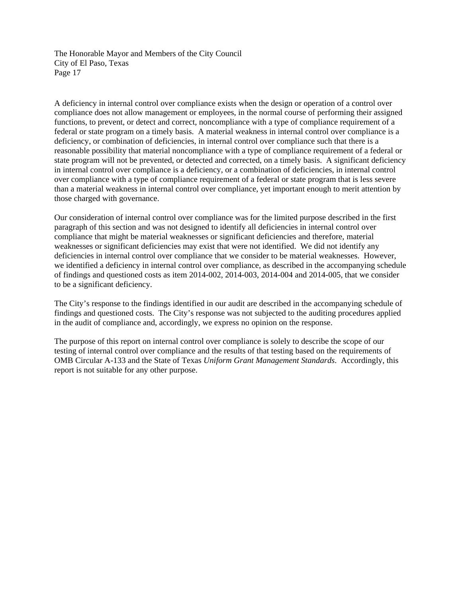A deficiency in internal control over compliance exists when the design or operation of a control over compliance does not allow management or employees, in the normal course of performing their assigned functions, to prevent, or detect and correct, noncompliance with a type of compliance requirement of a federal or state program on a timely basis. A material weakness in internal control over compliance is a deficiency, or combination of deficiencies, in internal control over compliance such that there is a reasonable possibility that material noncompliance with a type of compliance requirement of a federal or state program will not be prevented, or detected and corrected, on a timely basis. A significant deficiency in internal control over compliance is a deficiency, or a combination of deficiencies, in internal control over compliance with a type of compliance requirement of a federal or state program that is less severe than a material weakness in internal control over compliance, yet important enough to merit attention by those charged with governance.

Our consideration of internal control over compliance was for the limited purpose described in the first paragraph of this section and was not designed to identify all deficiencies in internal control over compliance that might be material weaknesses or significant deficiencies and therefore, material weaknesses or significant deficiencies may exist that were not identified. We did not identify any deficiencies in internal control over compliance that we consider to be material weaknesses. However, we identified a deficiency in internal control over compliance, as described in the accompanying schedule of findings and questioned costs as item 2014-002, 2014-003, 2014-004 and 2014-005, that we consider to be a significant deficiency.

The City's response to the findings identified in our audit are described in the accompanying schedule of findings and questioned costs. The City's response was not subjected to the auditing procedures applied in the audit of compliance and, accordingly, we express no opinion on the response.

The purpose of this report on internal control over compliance is solely to describe the scope of our testing of internal control over compliance and the results of that testing based on the requirements of OMB Circular A-133 and the State of Texas *Uniform Grant Management Standards*. Accordingly, this report is not suitable for any other purpose.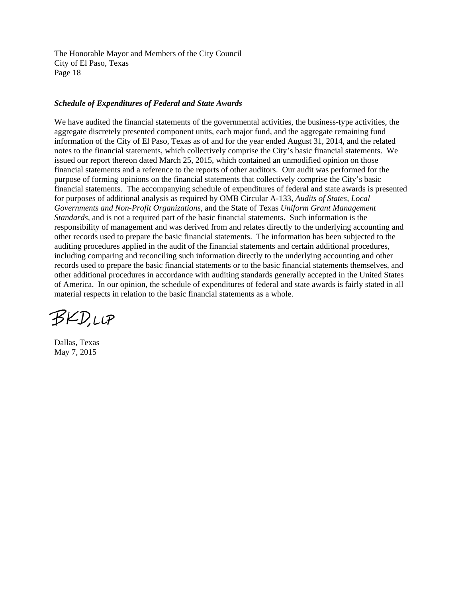#### *Schedule of Expenditures of Federal and State Awards*

We have audited the financial statements of the governmental activities, the business-type activities, the aggregate discretely presented component units, each major fund, and the aggregate remaining fund information of the City of El Paso, Texas as of and for the year ended August 31, 2014, and the related notes to the financial statements, which collectively comprise the City's basic financial statements. We issued our report thereon dated March 25, 2015, which contained an unmodified opinion on those financial statements and a reference to the reports of other auditors. Our audit was performed for the purpose of forming opinions on the financial statements that collectively comprise the City's basic financial statements. The accompanying schedule of expenditures of federal and state awards is presented for purposes of additional analysis as required by OMB Circular A-133, *Audits of States, Local Governments and Non-Profit Organizations*, and the State of Texas *Uniform Grant Management Standards,* and is not a required part of the basic financial statements. Such information is the responsibility of management and was derived from and relates directly to the underlying accounting and other records used to prepare the basic financial statements. The information has been subjected to the auditing procedures applied in the audit of the financial statements and certain additional procedures, including comparing and reconciling such information directly to the underlying accounting and other records used to prepare the basic financial statements or to the basic financial statements themselves, and other additional procedures in accordance with auditing standards generally accepted in the United States of America. In our opinion, the schedule of expenditures of federal and state awards is fairly stated in all material respects in relation to the basic financial statements as a whole.

**BKD,LLP** 

Dallas, Texas May 7, 2015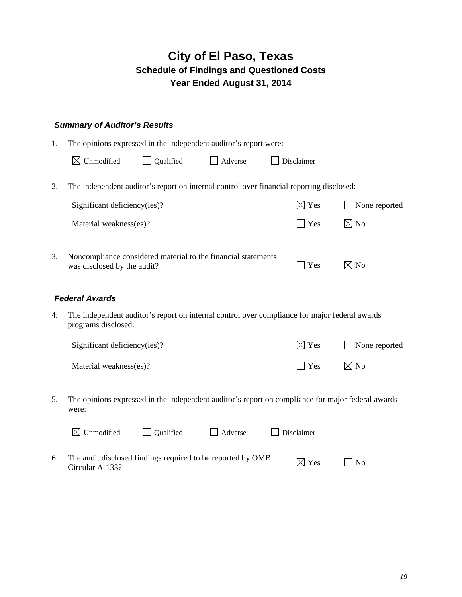### *Summary of Auditor's Results*

| 1. | The opinions expressed in the independent auditor's report were:                                                     |                 |                |
|----|----------------------------------------------------------------------------------------------------------------------|-----------------|----------------|
|    | $\boxtimes$ Unmodified<br>Qualified<br>Adverse                                                                       | Disclaimer      |                |
| 2. | The independent auditor's report on internal control over financial reporting disclosed:                             |                 |                |
|    | Significant deficiency(ies)?                                                                                         | $\boxtimes$ Yes | None reported  |
|    | Material weakness(es)?                                                                                               | <b>Yes</b>      | $\boxtimes$ No |
| 3. | Noncompliance considered material to the financial statements<br>was disclosed by the audit?                         | Yes             | $\boxtimes$ No |
|    | <b>Federal Awards</b>                                                                                                |                 |                |
| 4. | The independent auditor's report on internal control over compliance for major federal awards<br>programs disclosed: |                 |                |
|    | Significant deficiency(ies)?                                                                                         | $\boxtimes$ Yes | None reported  |
|    | Material weakness(es)?                                                                                               | Yes             | $\boxtimes$ No |
| 5. | The opinions expressed in the independent auditor's report on compliance for major federal awards<br>were:           |                 |                |
|    | Unmodified<br>Qualified<br>Adverse<br>IХ                                                                             | Disclaimer      |                |

6. The audit disclosed findings required to be reported by OMB  $\Box$  Yes  $\Box$  No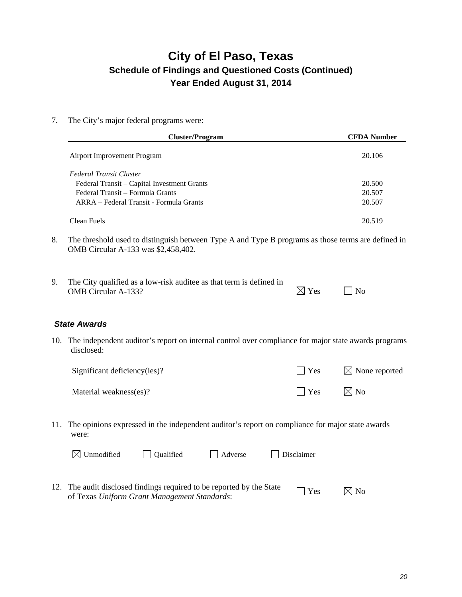7. The City's major federal programs were:

| <b>Cluster/Program</b>                      | <b>CFDA Number</b> |
|---------------------------------------------|--------------------|
| Airport Improvement Program                 | 20.106             |
| Federal Transit Cluster                     |                    |
| Federal Transit – Capital Investment Grants | 20.500             |
| Federal Transit – Formula Grants            | 20.507             |
| ARRA – Federal Transit - Formula Grants     | 20.507             |
| Clean Fuels                                 | 20.519             |

8. The threshold used to distinguish between Type A and Type B programs as those terms are defined in OMB Circular A-133 was \$2,458,402.

| The City qualified as a low-risk auditee as that term is defined in |                 |           |
|---------------------------------------------------------------------|-----------------|-----------|
| <b>OMB</b> Circular A-133?                                          | $\boxtimes$ Yes | $\Box$ No |

### *State Awards*

10. The independent auditor's report on internal control over compliance for major state awards programs disclosed:

| Significant deficiency(ies)? | $\blacksquare$ Yes | $\boxtimes$ None reported |
|------------------------------|--------------------|---------------------------|
| Material weakness(es)?       | $\Box$ Yes         | –⊠ No                     |

11. The opinions expressed in the independent auditor's report on compliance for major state awards were:

|  | $\boxtimes$ Unmodified |
|--|------------------------|
|--|------------------------|

d Qualified Adverse Disclaimer

12. The audit disclosed findings required to be reported by the State of Texas *Uniform Grant Management Standards*:  $\Box$  Yes  $\boxtimes$  No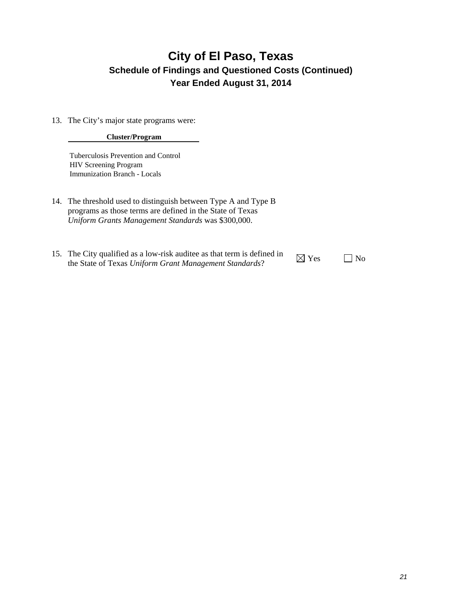13. The City's major state programs were:

**Cluster/Program**

Tuberculosis Prevention and Control HIV Screening Program Immunization Branch - Locals

- 14. The threshold used to distinguish between Type A and Type B programs as those terms are defined in the State of Texas *Uniform Grants Management Standards* was \$300,000.
- 15. The City qualified as a low-risk auditee as that term is defined in The City qualified as a low-risk auditee as that term is defined in  $\boxtimes$  Yes  $\Box$  No the State of Texas *Uniform Grant Management Standards*?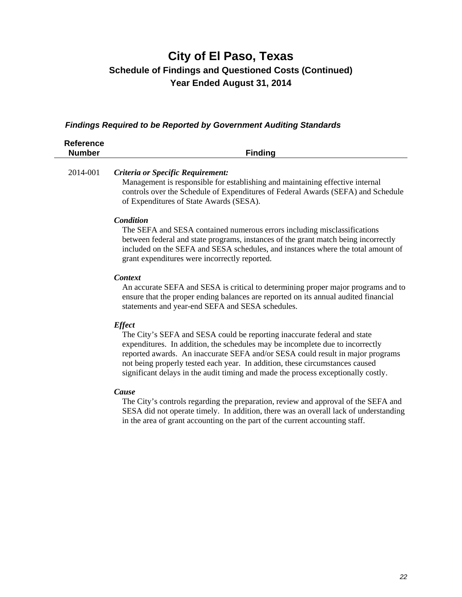*Findings Required to be Reported by Government Auditing Standards* 

| <b>Reference</b><br><b>Number</b> | <b>Finding</b>                                                                                                                                                                                                                                                                                                                                                                                                                    |
|-----------------------------------|-----------------------------------------------------------------------------------------------------------------------------------------------------------------------------------------------------------------------------------------------------------------------------------------------------------------------------------------------------------------------------------------------------------------------------------|
| 2014-001                          | Criteria or Specific Requirement:<br>Management is responsible for establishing and maintaining effective internal<br>controls over the Schedule of Expenditures of Federal Awards (SEFA) and Schedule<br>of Expenditures of State Awards (SESA).                                                                                                                                                                                 |
|                                   | Condition<br>The SEFA and SESA contained numerous errors including misclassifications<br>between federal and state programs, instances of the grant match being incorrectly<br>included on the SEFA and SESA schedules, and instances where the total amount of<br>grant expenditures were incorrectly reported.                                                                                                                  |
|                                   | <b>Context</b><br>An accurate SEFA and SESA is critical to determining proper major programs and to<br>ensure that the proper ending balances are reported on its annual audited financial<br>statements and year-end SEFA and SESA schedules.                                                                                                                                                                                    |
|                                   | <b>Effect</b><br>The City's SEFA and SESA could be reporting inaccurate federal and state<br>expenditures. In addition, the schedules may be incomplete due to incorrectly<br>reported awards. An inaccurate SEFA and/or SESA could result in major programs<br>not being properly tested each year. In addition, these circumstances caused<br>significant delays in the audit timing and made the process exceptionally costly. |
|                                   | Cause<br>The City's controls regarding the preparation, review and approval of the SEFA and<br>SESA did not operate timely. In addition, there was an overall lack of understanding<br>in the area of grant accounting on the part of the current accounting staff.                                                                                                                                                               |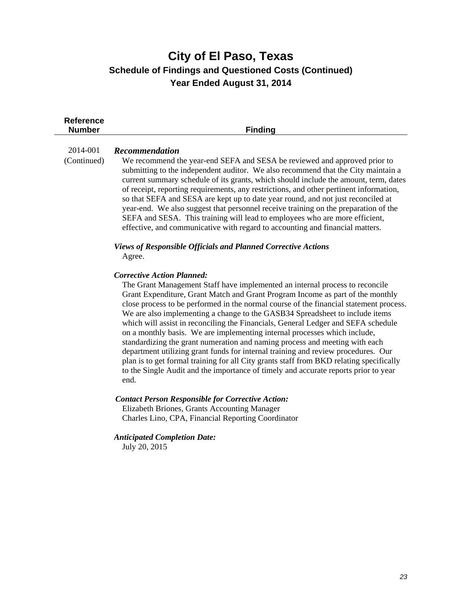| <b>Reference</b><br><b>Number</b> | <b>Finding</b>                                                                                                                                                                                                                                                                                                                                                                                                                                                                                                                                                                                                                                                                                                                                                                                                                                                                                                |
|-----------------------------------|---------------------------------------------------------------------------------------------------------------------------------------------------------------------------------------------------------------------------------------------------------------------------------------------------------------------------------------------------------------------------------------------------------------------------------------------------------------------------------------------------------------------------------------------------------------------------------------------------------------------------------------------------------------------------------------------------------------------------------------------------------------------------------------------------------------------------------------------------------------------------------------------------------------|
| 2014-001<br>(Continued)           | <b>Recommendation</b><br>We recommend the year-end SEFA and SESA be reviewed and approved prior to<br>submitting to the independent auditor. We also recommend that the City maintain a<br>current summary schedule of its grants, which should include the amount, term, dates<br>of receipt, reporting requirements, any restrictions, and other pertinent information,<br>so that SEFA and SESA are kept up to date year round, and not just reconciled at<br>year-end. We also suggest that personnel receive training on the preparation of the<br>SEFA and SESA. This training will lead to employees who are more efficient,<br>effective, and communicative with regard to accounting and financial matters.                                                                                                                                                                                          |
|                                   | <b>Views of Responsible Officials and Planned Corrective Actions</b><br>Agree.                                                                                                                                                                                                                                                                                                                                                                                                                                                                                                                                                                                                                                                                                                                                                                                                                                |
|                                   | <b>Corrective Action Planned:</b><br>The Grant Management Staff have implemented an internal process to reconcile<br>Grant Expenditure, Grant Match and Grant Program Income as part of the monthly<br>close process to be performed in the normal course of the financial statement process.<br>We are also implementing a change to the GASB34 Spreadsheet to include items<br>which will assist in reconciling the Financials, General Ledger and SEFA schedule<br>on a monthly basis. We are implementing internal processes which include,<br>standardizing the grant numeration and naming process and meeting with each<br>department utilizing grant funds for internal training and review procedures. Our<br>plan is to get formal training for all City grants staff from BKD relating specifically<br>to the Single Audit and the importance of timely and accurate reports prior to year<br>end. |
|                                   | <b>Contact Person Responsible for Corrective Action:</b><br>Elizabeth Briones, Grants Accounting Manager<br>Charles Lino, CPA, Financial Reporting Coordinator                                                                                                                                                                                                                                                                                                                                                                                                                                                                                                                                                                                                                                                                                                                                                |
|                                   | <b>Anticipated Completion Date:</b><br>July 20, 2015                                                                                                                                                                                                                                                                                                                                                                                                                                                                                                                                                                                                                                                                                                                                                                                                                                                          |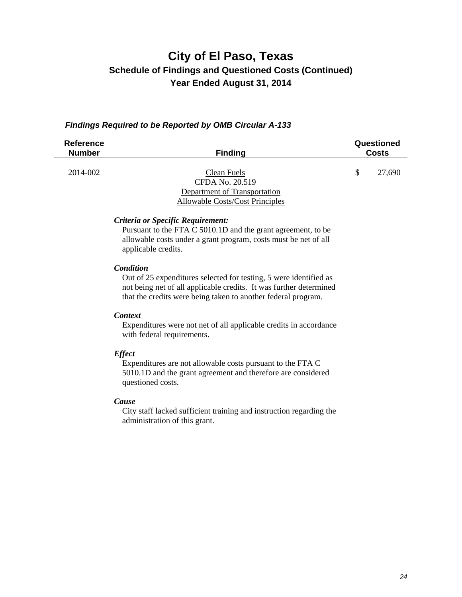### *Findings Required to be Reported by OMB Circular A-133*

| <b>Reference</b><br><b>Number</b> | <b>Finding</b>                                                                                           |   | Questioned<br><b>Costs</b> |
|-----------------------------------|----------------------------------------------------------------------------------------------------------|---|----------------------------|
| 2014-002                          | Clean Fuels<br>CFDA No. 20.519<br>Department of Transportation<br><b>Allowable Costs/Cost Principles</b> | S | 27,690                     |
|                                   | Criteria or Specific Requirement:<br>Duration to the ETA C $5010, 1D$ and the great equation to be       |   |                            |

 Pursuant to the FTA C 5010.1D and the grant agreement, to be allowable costs under a grant program, costs must be net of all applicable credits.

#### *Condition*

 Out of 25 expenditures selected for testing, 5 were identified as not being net of all applicable credits. It was further determined that the credits were being taken to another federal program.

#### *Context*

 Expenditures were not net of all applicable credits in accordance with federal requirements.

### *Effect*

 Expenditures are not allowable costs pursuant to the FTA C 5010.1D and the grant agreement and therefore are considered questioned costs.

#### *Cause*

 City staff lacked sufficient training and instruction regarding the administration of this grant.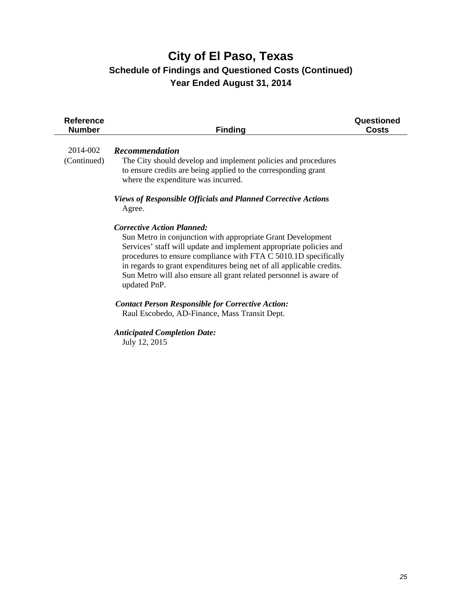| <b>Reference</b><br><b>Number</b> | <b>Finding</b>                                                                                                                                                                                                                                                                                                                                                                                           | Questioned<br><b>Costs</b> |
|-----------------------------------|----------------------------------------------------------------------------------------------------------------------------------------------------------------------------------------------------------------------------------------------------------------------------------------------------------------------------------------------------------------------------------------------------------|----------------------------|
| 2014-002<br>(Continued)           | <b>Recommendation</b><br>The City should develop and implement policies and procedures<br>to ensure credits are being applied to the corresponding grant<br>where the expenditure was incurred.                                                                                                                                                                                                          |                            |
|                                   | <b>Views of Responsible Officials and Planned Corrective Actions</b><br>Agree.                                                                                                                                                                                                                                                                                                                           |                            |
|                                   | <b>Corrective Action Planned:</b><br>Sun Metro in conjunction with appropriate Grant Development<br>Services' staff will update and implement appropriate policies and<br>procedures to ensure compliance with FTA C 5010.1D specifically<br>in regards to grant expenditures being net of all applicable credits.<br>Sun Metro will also ensure all grant related personnel is aware of<br>updated PnP. |                            |
|                                   | <b>Contact Person Responsible for Corrective Action:</b><br>Raul Escobedo, AD-Finance, Mass Transit Dept.                                                                                                                                                                                                                                                                                                |                            |
|                                   | <b>Anticipated Completion Date:</b><br>July 12, 2015                                                                                                                                                                                                                                                                                                                                                     |                            |
|                                   |                                                                                                                                                                                                                                                                                                                                                                                                          |                            |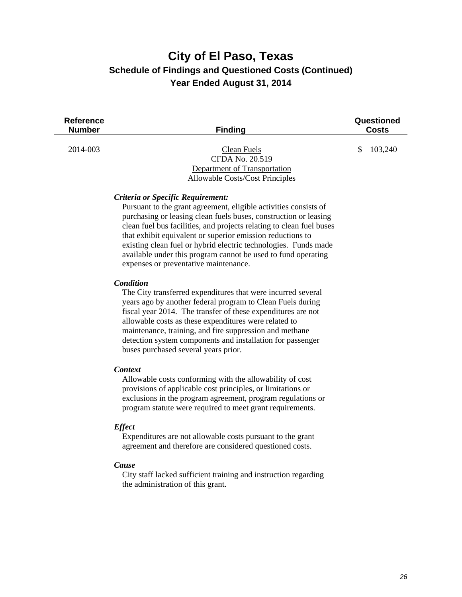| <b>Reference</b><br><b>Number</b> | <b>Finding</b>                                                                                                                                                                                                                               |   | Questioned<br><b>Costs</b> |
|-----------------------------------|----------------------------------------------------------------------------------------------------------------------------------------------------------------------------------------------------------------------------------------------|---|----------------------------|
| 2014-003                          | Clean Fuels<br>CFDA No. 20.519<br>Department of Transportation<br><b>Allowable Costs/Cost Principles</b>                                                                                                                                     | S | 103,240                    |
|                                   | Criteria or Specific Requirement:<br>Pursuant to the grant agreement, eligible activities consists of<br>$\mathbf{a}$ and $\mathbf{a}$ and $\mathbf{a}$ and $\mathbf{a}$ and $\mathbf{a}$ and $\mathbf{a}$ and $\mathbf{a}$ and $\mathbf{a}$ |   |                            |

purchasing or leasing clean fuels buses, construction or leasing clean fuel bus facilities, and projects relating to clean fuel buses that exhibit equivalent or superior emission reductions to existing clean fuel or hybrid electric technologies. Funds made available under this program cannot be used to fund operating expenses or preventative maintenance.

#### *Condition*

 The City transferred expenditures that were incurred several years ago by another federal program to Clean Fuels during fiscal year 2014. The transfer of these expenditures are not allowable costs as these expenditures were related to maintenance, training, and fire suppression and methane detection system components and installation for passenger buses purchased several years prior.

#### *Context*

 Allowable costs conforming with the allowability of cost provisions of applicable cost principles, or limitations or exclusions in the program agreement, program regulations or program statute were required to meet grant requirements.

#### *Effect*

 Expenditures are not allowable costs pursuant to the grant agreement and therefore are considered questioned costs.

#### *Cause*

 City staff lacked sufficient training and instruction regarding the administration of this grant.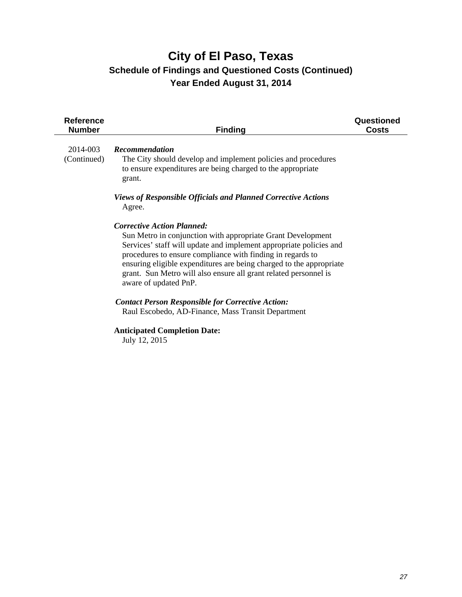| <b>Reference</b><br><b>Number</b> | <b>Finding</b>                                                                                                                                                                                                                                                                                                                                                                                           | Questioned<br><b>Costs</b> |
|-----------------------------------|----------------------------------------------------------------------------------------------------------------------------------------------------------------------------------------------------------------------------------------------------------------------------------------------------------------------------------------------------------------------------------------------------------|----------------------------|
| 2014-003<br>(Continued)           | <b>Recommendation</b><br>The City should develop and implement policies and procedures<br>to ensure expenditures are being charged to the appropriate<br>grant.                                                                                                                                                                                                                                          |                            |
|                                   | <b>Views of Responsible Officials and Planned Corrective Actions</b><br>Agree.                                                                                                                                                                                                                                                                                                                           |                            |
|                                   | <b>Corrective Action Planned:</b><br>Sun Metro in conjunction with appropriate Grant Development<br>Services' staff will update and implement appropriate policies and<br>procedures to ensure compliance with finding in regards to<br>ensuring eligible expenditures are being charged to the appropriate<br>grant. Sun Metro will also ensure all grant related personnel is<br>aware of updated PnP. |                            |
|                                   | <b>Contact Person Responsible for Corrective Action:</b><br>Raul Escobedo, AD-Finance, Mass Transit Department                                                                                                                                                                                                                                                                                           |                            |
|                                   | <b>Anticipated Completion Date:</b><br>July 12, 2015                                                                                                                                                                                                                                                                                                                                                     |                            |
|                                   |                                                                                                                                                                                                                                                                                                                                                                                                          |                            |
|                                   |                                                                                                                                                                                                                                                                                                                                                                                                          |                            |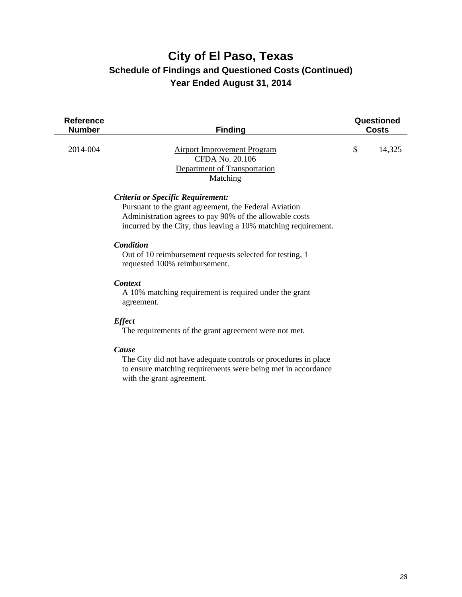| <b>Reference</b><br><b>Number</b> | <b>Finding</b>                                                                                                                                                                                                          | Questioned<br><b>Costs</b> |
|-----------------------------------|-------------------------------------------------------------------------------------------------------------------------------------------------------------------------------------------------------------------------|----------------------------|
| 2014-004                          | <b>Airport Improvement Program</b><br>CFDA No. 20.106<br>Department of Transportation<br>Matching                                                                                                                       | \$<br>14,325               |
|                                   | Criteria or Specific Requirement:<br>Pursuant to the grant agreement, the Federal Aviation<br>Administration agrees to pay 90% of the allowable costs<br>incurred by the City, thus leaving a 10% matching requirement. |                            |
|                                   | <b>Condition</b><br>Out of 10 reimbursement requests selected for testing, 1<br>requested 100% reimbursement.                                                                                                           |                            |
|                                   | <b>Context</b><br>A 10% matching requirement is required under the grant<br>agreement.                                                                                                                                  |                            |
|                                   | <b>Effect</b><br>The requirements of the grant agreement were not met.                                                                                                                                                  |                            |
|                                   | Cause<br>The City did not have adequate controls or procedures in place<br>to ensure matching requirements were being met in accordance<br>with the grant agreement.                                                    |                            |
|                                   |                                                                                                                                                                                                                         |                            |
|                                   |                                                                                                                                                                                                                         |                            |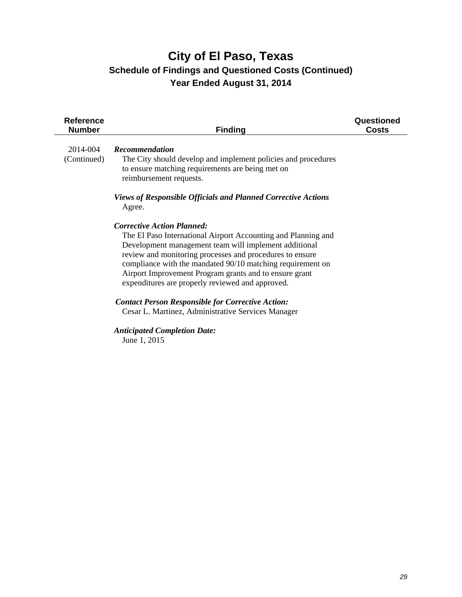| <b>Reference</b><br><b>Number</b> | <b>Finding</b>                                                                                                                                                                                                                                                                                                                                                                                      | Questioned<br><b>Costs</b> |
|-----------------------------------|-----------------------------------------------------------------------------------------------------------------------------------------------------------------------------------------------------------------------------------------------------------------------------------------------------------------------------------------------------------------------------------------------------|----------------------------|
| 2014-004<br>(Continued)           | <b>Recommendation</b><br>The City should develop and implement policies and procedures<br>to ensure matching requirements are being met on<br>reimbursement requests.                                                                                                                                                                                                                               |                            |
|                                   | <b>Views of Responsible Officials and Planned Corrective Actions</b><br>Agree.                                                                                                                                                                                                                                                                                                                      |                            |
|                                   | <b>Corrective Action Planned:</b><br>The El Paso International Airport Accounting and Planning and<br>Development management team will implement additional<br>review and monitoring processes and procedures to ensure<br>compliance with the mandated 90/10 matching requirement on<br>Airport Improvement Program grants and to ensure grant<br>expenditures are properly reviewed and approved. |                            |
|                                   | <b>Contact Person Responsible for Corrective Action:</b><br>Cesar L. Martinez, Administrative Services Manager                                                                                                                                                                                                                                                                                      |                            |
|                                   | <b>Anticipated Completion Date:</b><br>June 1, 2015                                                                                                                                                                                                                                                                                                                                                 |                            |
|                                   |                                                                                                                                                                                                                                                                                                                                                                                                     |                            |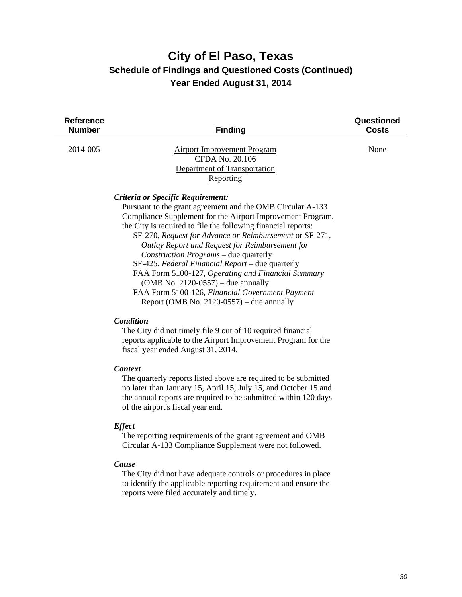| <b>Reference</b><br><b>Number</b> | <b>Finding</b>                                                                                                                                                                                                                                                                                                                                                                                                                                                                                                                                                                                                                           | Questioned<br><b>Costs</b> |
|-----------------------------------|------------------------------------------------------------------------------------------------------------------------------------------------------------------------------------------------------------------------------------------------------------------------------------------------------------------------------------------------------------------------------------------------------------------------------------------------------------------------------------------------------------------------------------------------------------------------------------------------------------------------------------------|----------------------------|
| 2014-005                          | <b>Airport Improvement Program</b><br>CFDA No. 20.106<br>Department of Transportation<br>Reporting                                                                                                                                                                                                                                                                                                                                                                                                                                                                                                                                       | None                       |
|                                   | Criteria or Specific Requirement:<br>Pursuant to the grant agreement and the OMB Circular A-133<br>Compliance Supplement for the Airport Improvement Program,<br>the City is required to file the following financial reports:<br>SF-270, Request for Advance or Reimbursement or SF-271,<br>Outlay Report and Request for Reimbursement for<br>Construction Programs - due quarterly<br>SF-425, Federal Financial Report - due quarterly<br>FAA Form 5100-127, Operating and Financial Summary<br>(OMB No. 2120-0557) – due annually<br>FAA Form 5100-126, Financial Government Payment<br>Report (OMB No. $2120-0557$ ) – due annually |                            |
|                                   | <b>Condition</b><br>The City did not timely file 9 out of 10 required financial<br>reports applicable to the Airport Improvement Program for the<br>fiscal year ended August 31, 2014.                                                                                                                                                                                                                                                                                                                                                                                                                                                   |                            |
|                                   | <b>Context</b><br>The quarterly reports listed above are required to be submitted<br>no later than January 15, April 15, July 15, and October 15 and<br>the annual reports are required to be submitted within 120 days<br>of the airport's fiscal year end.                                                                                                                                                                                                                                                                                                                                                                             |                            |
|                                   | <b>Effect</b><br>The reporting requirements of the grant agreement and OMB<br>Circular A-133 Compliance Supplement were not followed.                                                                                                                                                                                                                                                                                                                                                                                                                                                                                                    |                            |
|                                   | Cause<br>The City did not have adequate controls or procedures in place<br>to identify the applicable reporting requirement and ensure the<br>reports were filed accurately and timely.                                                                                                                                                                                                                                                                                                                                                                                                                                                  |                            |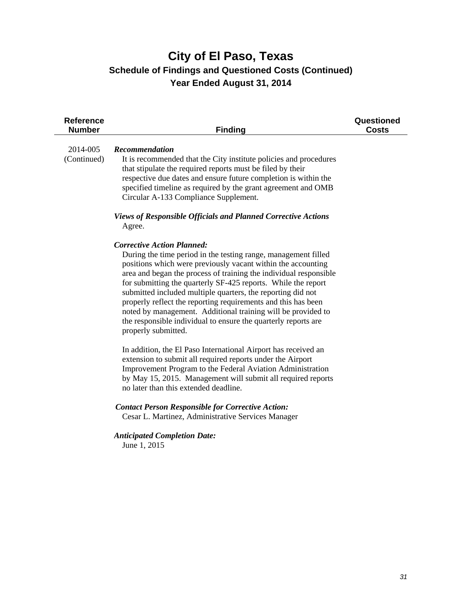| <b>Reference</b><br><b>Number</b> | <b>Finding</b>                                                                                                                                                                                                                                                                                                                                                                                                                                                                                                                                                                                                                                                                                                                                                                                                                                                                                            | Questioned<br><b>Costs</b> |
|-----------------------------------|-----------------------------------------------------------------------------------------------------------------------------------------------------------------------------------------------------------------------------------------------------------------------------------------------------------------------------------------------------------------------------------------------------------------------------------------------------------------------------------------------------------------------------------------------------------------------------------------------------------------------------------------------------------------------------------------------------------------------------------------------------------------------------------------------------------------------------------------------------------------------------------------------------------|----------------------------|
| 2014-005<br>(Continued)           | <b>Recommendation</b><br>It is recommended that the City institute policies and procedures<br>that stipulate the required reports must be filed by their<br>respective due dates and ensure future completion is within the<br>specified timeline as required by the grant agreement and OMB<br>Circular A-133 Compliance Supplement.                                                                                                                                                                                                                                                                                                                                                                                                                                                                                                                                                                     |                            |
|                                   | <b>Views of Responsible Officials and Planned Corrective Actions</b><br>Agree.                                                                                                                                                                                                                                                                                                                                                                                                                                                                                                                                                                                                                                                                                                                                                                                                                            |                            |
|                                   | <b>Corrective Action Planned:</b><br>During the time period in the testing range, management filled<br>positions which were previously vacant within the accounting<br>area and began the process of training the individual responsible<br>for submitting the quarterly SF-425 reports. While the report<br>submitted included multiple quarters, the reporting did not<br>properly reflect the reporting requirements and this has been<br>noted by management. Additional training will be provided to<br>the responsible individual to ensure the quarterly reports are<br>properly submitted.<br>In addition, the El Paso International Airport has received an<br>extension to submit all required reports under the Airport<br>Improvement Program to the Federal Aviation Administration<br>by May 15, 2015. Management will submit all required reports<br>no later than this extended deadline. |                            |
|                                   | <b>Contact Person Responsible for Corrective Action:</b><br>Cesar L. Martinez, Administrative Services Manager                                                                                                                                                                                                                                                                                                                                                                                                                                                                                                                                                                                                                                                                                                                                                                                            |                            |
|                                   | <b>Anticipated Completion Date:</b><br>June 1, 2015                                                                                                                                                                                                                                                                                                                                                                                                                                                                                                                                                                                                                                                                                                                                                                                                                                                       |                            |
|                                   |                                                                                                                                                                                                                                                                                                                                                                                                                                                                                                                                                                                                                                                                                                                                                                                                                                                                                                           |                            |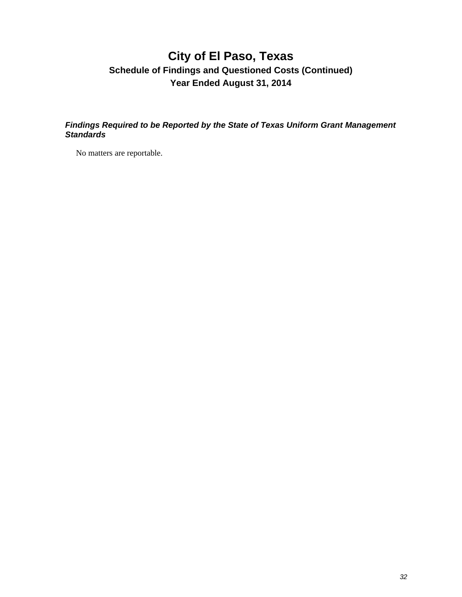*Findings Required to be Reported by the State of Texas Uniform Grant Management Standards* 

No matters are reportable.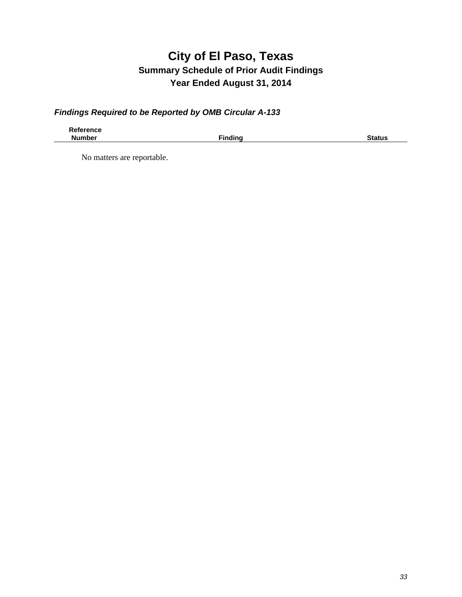### **City of El Paso, Texas Summary Schedule of Prior Audit Findings Year Ended August 31, 2014**

### *Findings Required to be Reported by OMB Circular A-133*

| <b>Reference</b> |                |               |
|------------------|----------------|---------------|
| <b>Number</b>    | <b>Findina</b> | <b>Status</b> |

No matters are reportable.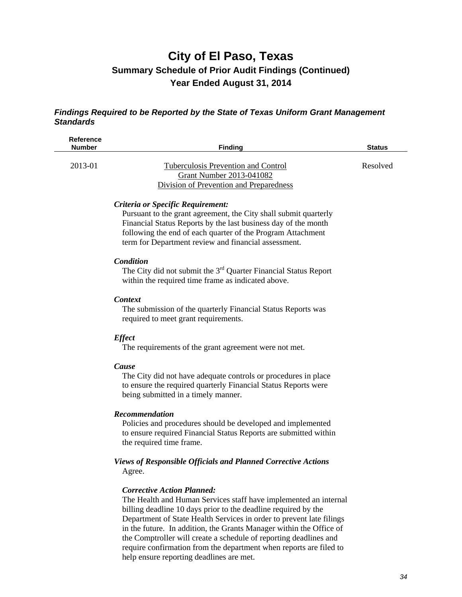# **City of El Paso, Texas Summary Schedule of Prior Audit Findings (Continued) Year Ended August 31, 2014**

### *Findings Required to be Reported by the State of Texas Uniform Grant Management Standards*

| <b>Reference</b><br><b>Number</b> | <b>Finding</b>                                                                                                                                                                                                                                                                                                         | <b>Status</b> |
|-----------------------------------|------------------------------------------------------------------------------------------------------------------------------------------------------------------------------------------------------------------------------------------------------------------------------------------------------------------------|---------------|
| 2013-01                           | <b>Tuberculosis Prevention and Control</b><br><b>Grant Number 2013-041082</b><br>Division of Prevention and Preparedness                                                                                                                                                                                               | Resolved      |
|                                   | Criteria or Specific Requirement:<br>Pursuant to the grant agreement, the City shall submit quarterly<br>Financial Status Reports by the last business day of the month<br>following the end of each quarter of the Program Attachment<br>term for Department review and financial assessment.                         |               |
|                                   | Condition<br>The City did not submit the 3 <sup>rd</sup> Quarter Financial Status Report<br>within the required time frame as indicated above.                                                                                                                                                                         |               |
|                                   | <b>Context</b><br>The submission of the quarterly Financial Status Reports was<br>required to meet grant requirements.                                                                                                                                                                                                 |               |
|                                   | <b>Effect</b><br>The requirements of the grant agreement were not met.                                                                                                                                                                                                                                                 |               |
|                                   | Cause<br>The City did not have adequate controls or procedures in place<br>to ensure the required quarterly Financial Status Reports were<br>being submitted in a timely manner.                                                                                                                                       |               |
|                                   | <b>Recommendation</b><br>Policies and procedures should be developed and implemented<br>to ensure required Financial Status Reports are submitted within<br>the required time frame.                                                                                                                                   |               |
|                                   | <b>Views of Responsible Officials and Planned Corrective Actions</b><br>Agree.                                                                                                                                                                                                                                         |               |
|                                   | <b>Corrective Action Planned:</b><br>The Health and Human Services staff have implemented an internal<br>billing deadline 10 days prior to the deadline required by the<br>Department of State Health Services in order to prevent late filings<br>in the future. In addition, the Grants Manager within the Office of |               |

the Comptroller will create a schedule of reporting deadlines and require confirmation from the department when reports are filed to help ensure reporting deadlines are met.